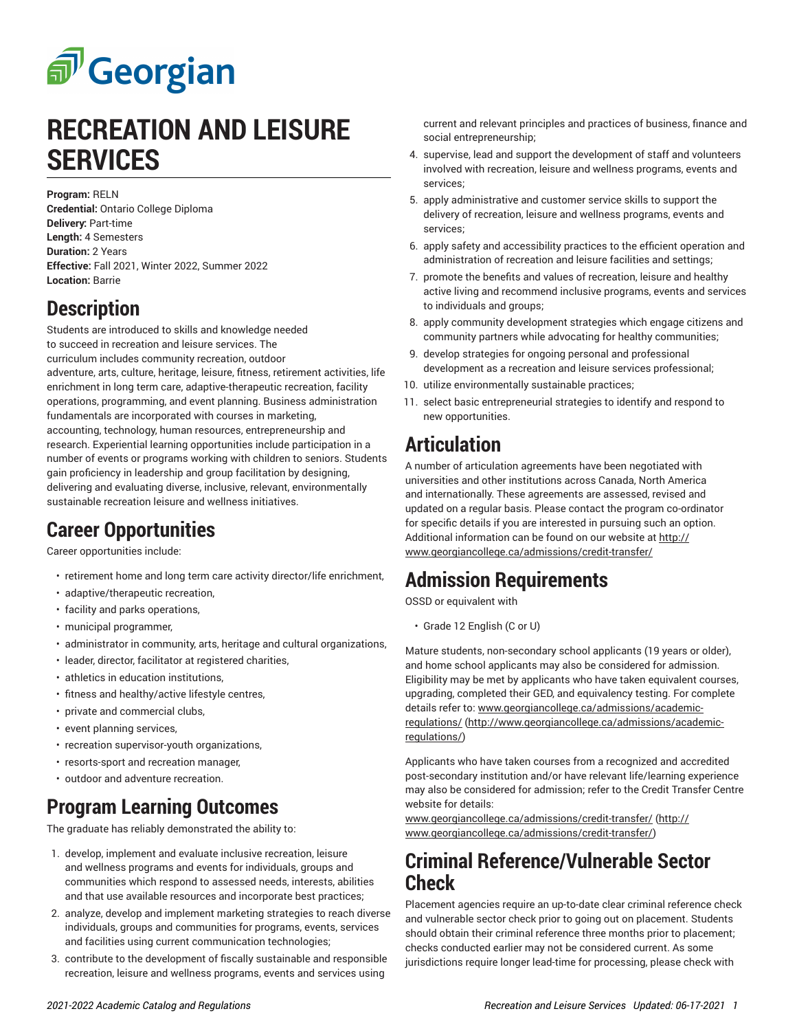# சி Georgian

# **RECREATION AND LEISURE SERVICES**

**Program:** RELN **Credential:** Ontario College Diploma

**Delivery:** Part-time **Length:** 4 Semesters **Duration:** 2 Years **Effective:** Fall 2021, Winter 2022, Summer 2022 **Location:** Barrie

### **Description**

Students are introduced to skills and knowledge needed to succeed in recreation and leisure services. The curriculum includes community recreation, outdoor adventure, arts, culture, heritage, leisure, fitness, retirement activities, life enrichment in long term care, adaptive-therapeutic recreation, facility operations, programming, and event planning. Business administration fundamentals are incorporated with courses in marketing, accounting, technology, human resources, entrepreneurship and research. Experiential learning opportunities include participation in a number of events or programs working with children to seniors. Students gain proficiency in leadership and group facilitation by designing, delivering and evaluating diverse, inclusive, relevant, environmentally sustainable recreation leisure and wellness initiatives.

#### **Career Opportunities**

Career opportunities include:

- retirement home and long term care activity director/life enrichment,
- adaptive/therapeutic recreation,
- facility and parks operations,
- municipal programmer,
- administrator in community, arts, heritage and cultural organizations,
- leader, director, facilitator at registered charities,
- athletics in education institutions,
- fitness and healthy/active lifestyle centres,
- private and commercial clubs,
- event planning services,
- recreation supervisor-youth organizations,
- resorts-sport and recreation manager,
- outdoor and adventure recreation.

## **Program Learning Outcomes**

The graduate has reliably demonstrated the ability to:

- 1. develop, implement and evaluate inclusive recreation, leisure and wellness programs and events for individuals, groups and communities which respond to assessed needs, interests, abilities and that use available resources and incorporate best practices;
- 2. analyze, develop and implement marketing strategies to reach diverse individuals, groups and communities for programs, events, services and facilities using current communication technologies;
- 3. contribute to the development of fiscally sustainable and responsible recreation, leisure and wellness programs, events and services using

current and relevant principles and practices of business, finance and social entrepreneurship;

- 4. supervise, lead and support the development of staff and volunteers involved with recreation, leisure and wellness programs, events and services;
- 5. apply administrative and customer service skills to support the delivery of recreation, leisure and wellness programs, events and services;
- 6. apply safety and accessibility practices to the efficient operation and administration of recreation and leisure facilities and settings;
- 7. promote the benefits and values of recreation, leisure and healthy active living and recommend inclusive programs, events and services to individuals and groups;
- 8. apply community development strategies which engage citizens and community partners while advocating for healthy communities;
- 9. develop strategies for ongoing personal and professional development as a recreation and leisure services professional;
- 10. utilize environmentally sustainable practices;
- 11. select basic entrepreneurial strategies to identify and respond to new opportunities.

# **Articulation**

A number of articulation agreements have been negotiated with universities and other institutions across Canada, North America and internationally. These agreements are assessed, revised and updated on a regular basis. Please contact the program co-ordinator for specific details if you are interested in pursuing such an option. Additional information can be found on our website at [http://](http://www.georgiancollege.ca/admissions/credit-transfer/) [www.georgiancollege.ca/admissions/credit-transfer/](http://www.georgiancollege.ca/admissions/credit-transfer/)

## **Admission Requirements**

OSSD or equivalent with

• Grade 12 English (C or U)

Mature students, non-secondary school applicants (19 years or older), and home school applicants may also be considered for admission. Eligibility may be met by applicants who have taken equivalent courses, upgrading, completed their GED, and equivalency testing. For complete details refer to: [www.georgiancollege.ca/admissions/academic](http://www.georgiancollege.ca/admissions/academic-regulations/)[regulations/](http://www.georgiancollege.ca/admissions/academic-regulations/) ([http://www.georgiancollege.ca/admissions/academic](http://www.georgiancollege.ca/admissions/academic-regulations/)[regulations/](http://www.georgiancollege.ca/admissions/academic-regulations/))

Applicants who have taken courses from a recognized and accredited post-secondary institution and/or have relevant life/learning experience may also be considered for admission; refer to the Credit Transfer Centre website for details:

[www.georgiancollege.ca/admissions/credit-transfer/ \(http://](http://www.georgiancollege.ca/admissions/credit-transfer/) [www.georgiancollege.ca/admissions/credit-transfer/\)](http://www.georgiancollege.ca/admissions/credit-transfer/)

#### **Criminal Reference/Vulnerable Sector Check**

Placement agencies require an up-to-date clear criminal reference check and vulnerable sector check prior to going out on placement. Students should obtain their criminal reference three months prior to placement; checks conducted earlier may not be considered current. As some jurisdictions require longer lead-time for processing, please check with